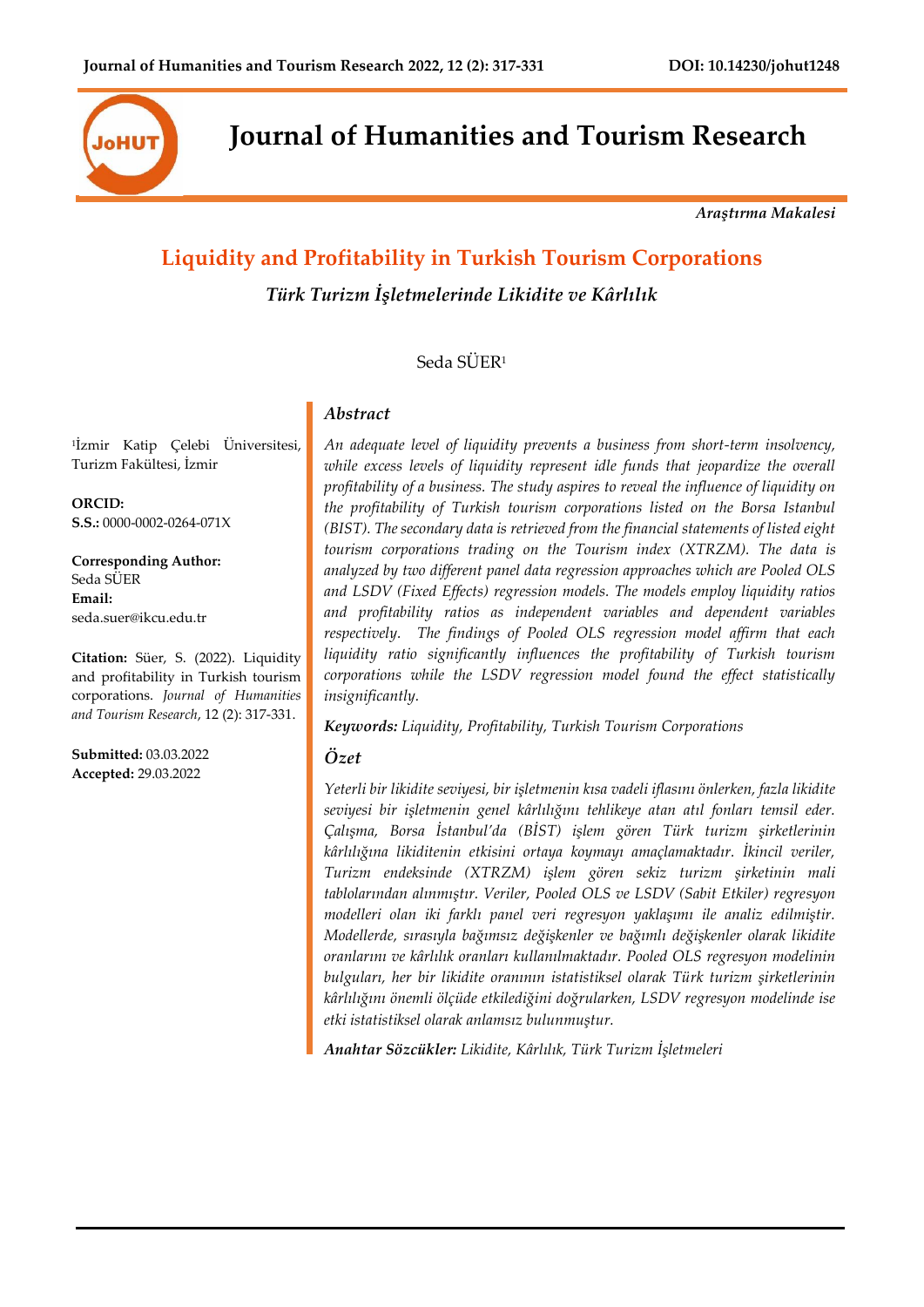

**Journal of Humanities and Tourism Research**

*Araştırma Makalesi*

# **Liquidity and Profitability in Turkish Tourism Corporations**

*Türk Turizm İşletmelerinde Likidite ve Kârlılık*

## Seda SÜER<sup>1</sup>

1 İzmir Katip Çelebi Üniversitesi, Turizm Fakültesi, İzmir

**ORCID: S.S.:** 0000-0002-0264-071X

**Corresponding Author:** Seda SÜER **Email:** seda.suer@ikcu.edu.tr

**Citation:** Süer, S. (2022). Liquidity and profitability in Turkish tourism corporations. *Journal of Humanities and Tourism Research*, 12 (2): 317-331.

**Submitted:** 03.03.2022 **Accepted:** 29.03.2022

*An adequate level of liquidity prevents a business from short-term insolvency,*  while excess levels of liquidity represent idle funds that jeopardize the overall *profitability of a business. The study aspires to reveal the influence of liquidity on the profitability of Turkish tourism corporations listed on the Borsa Istanbul (BIST). The secondary data is retrieved from the financial statements of listed eight tourism corporations trading on the Tourism index (XTRZM). The data is analyzed by two different panel data regression approaches which are Pooled OLS and LSDV (Fixed Effects) regression models. The models employ liquidity ratios and profitability ratios as independent variables and dependent variables respectively. The findings of Pooled OLS regression model affirm that each liquidity ratio significantly influences the profitability of Turkish tourism corporations while the LSDV regression model found the effect statistically insignificantly.*

*Keywords: Liquidity, Profitability, Turkish Tourism Corporations*

### *Özet*

*Abstract*

*Yeterli bir likidite seviyesi, bir işletmenin kısa vadeli iflasını önlerken, fazla likidite seviyesi bir işletmenin genel kârlılığını tehlikeye atan atıl fonları temsil eder. Çalışma, Borsa İstanbul'da (BİST) işlem gören Türk turizm şirketlerinin kârlılığına likiditenin etkisini ortaya koymayı amaçlamaktadır. İkincil veriler, Turizm endeksinde (XTRZM) işlem gören sekiz turizm şirketinin mali tablolarından alınmıştır. Veriler, Pooled OLS ve LSDV (Sabit Etkiler) regresyon modelleri olan iki farklı panel veri regresyon yaklaşımı ile analiz edilmiştir. Modellerde, sırasıyla bağımsız değişkenler ve bağımlı değişkenler olarak likidite oranlarını ve kârlılık oranları kullanılmaktadır. Pooled OLS regresyon modelinin bulguları, her bir likidite oranının istatistiksel olarak Türk turizm şirketlerinin kârlılığını önemli ölçüde etkilediğini doğrularken, LSDV regresyon modelinde ise etki istatistiksel olarak anlamsız bulunmuştur.*

*Anahtar Sözcükler: Likidite, Kârlılık, Türk Turizm İşletmeleri*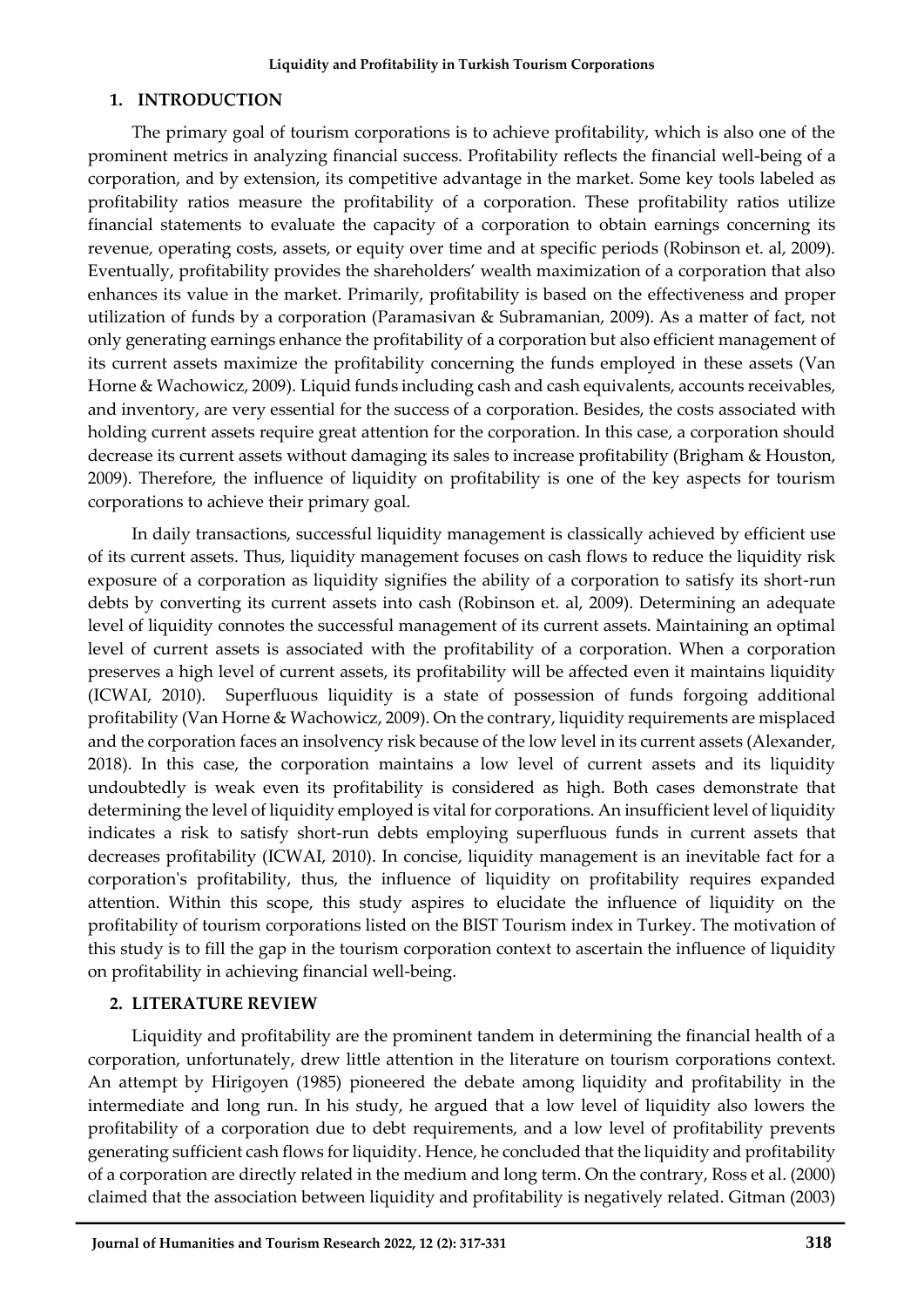## **1. INTRODUCTION**

The primary goal of tourism corporations is to achieve profitability, which is also one of the prominent metrics in analyzing financial success. Profitability reflects the financial well-being of a corporation, and by extension, its competitive advantage in the market. Some key tools labeled as profitability ratios measure the profitability of a corporation. These profitability ratios utilize financial statements to evaluate the capacity of a corporation to obtain earnings concerning its revenue, operating costs, assets, or equity over time and at specific periods (Robinson et. al, 2009). Eventually, profitability provides the shareholders' wealth maximization of a corporation that also enhances its value in the market. Primarily, profitability is based on the effectiveness and proper utilization of funds by a corporation (Paramasivan & Subramanian, 2009). As a matter of fact, not only generating earnings enhance the profitability of a corporation but also efficient management of its current assets maximize the profitability concerning the funds employed in these assets (Van Horne & Wachowicz, 2009). Liquid funds including cash and cash equivalents, accounts receivables, and inventory, are very essential for the success of a corporation. Besides, the costs associated with holding current assets require great attention for the corporation. In this case, a corporation should decrease its current assets without damaging its sales to increase profitability (Brigham & Houston, 2009). Therefore, the influence of liquidity on profitability is one of the key aspects for tourism corporations to achieve their primary goal.

In daily transactions, successful liquidity management is classically achieved by efficient use of its current assets. Thus, liquidity management focuses on cash flows to reduce the liquidity risk exposure of a corporation as liquidity signifies the ability of a corporation to satisfy its short-run debts by converting its current assets into cash (Robinson et. al, 2009). Determining an adequate level of liquidity connotes the successful management of its current assets. Maintaining an optimal level of current assets is associated with the profitability of a corporation. When a corporation preserves a high level of current assets, its profitability will be affected even it maintains liquidity (ICWAI, 2010). Superfluous liquidity is a state of possession of funds forgoing additional profitability (Van Horne & Wachowicz, 2009). On the contrary, liquidity requirements are misplaced and the corporation faces an insolvency risk because of the low level in its current assets (Alexander, 2018). In this case, the corporation maintains a low level of current assets and its liquidity undoubtedly is weak even its profitability is considered as high. Both cases demonstrate that determining the level of liquidity employed is vital for corporations. An insufficient level of liquidity indicates a risk to satisfy short-run debts employing superfluous funds in current assets that decreases profitability (ICWAI, 2010). In concise, liquidity management is an inevitable fact for a corporation's profitability, thus, the influence of liquidity on profitability requires expanded attention. Within this scope, this study aspires to elucidate the influence of liquidity on the profitability of tourism corporations listed on the BIST Tourism index in Turkey. The motivation of this study is to fill the gap in the tourism corporation context to ascertain the influence of liquidity on profitability in achieving financial well-being.

## **2. LITERATURE REVIEW**

Liquidity and profitability are the prominent tandem in determining the financial health of a corporation, unfortunately, drew little attention in the literature on tourism corporations context. An attempt by Hirigoyen (1985) pioneered the debate among liquidity and profitability in the intermediate and long run. In his study, he argued that a low level of liquidity also lowers the profitability of a corporation due to debt requirements, and a low level of profitability prevents generating sufficient cash flows for liquidity. Hence, he concluded that the liquidity and profitability of a corporation are directly related in the medium and long term. On the contrary, Ross et al. (2000) claimed that the association between liquidity and profitability is negatively related. Gitman (2003)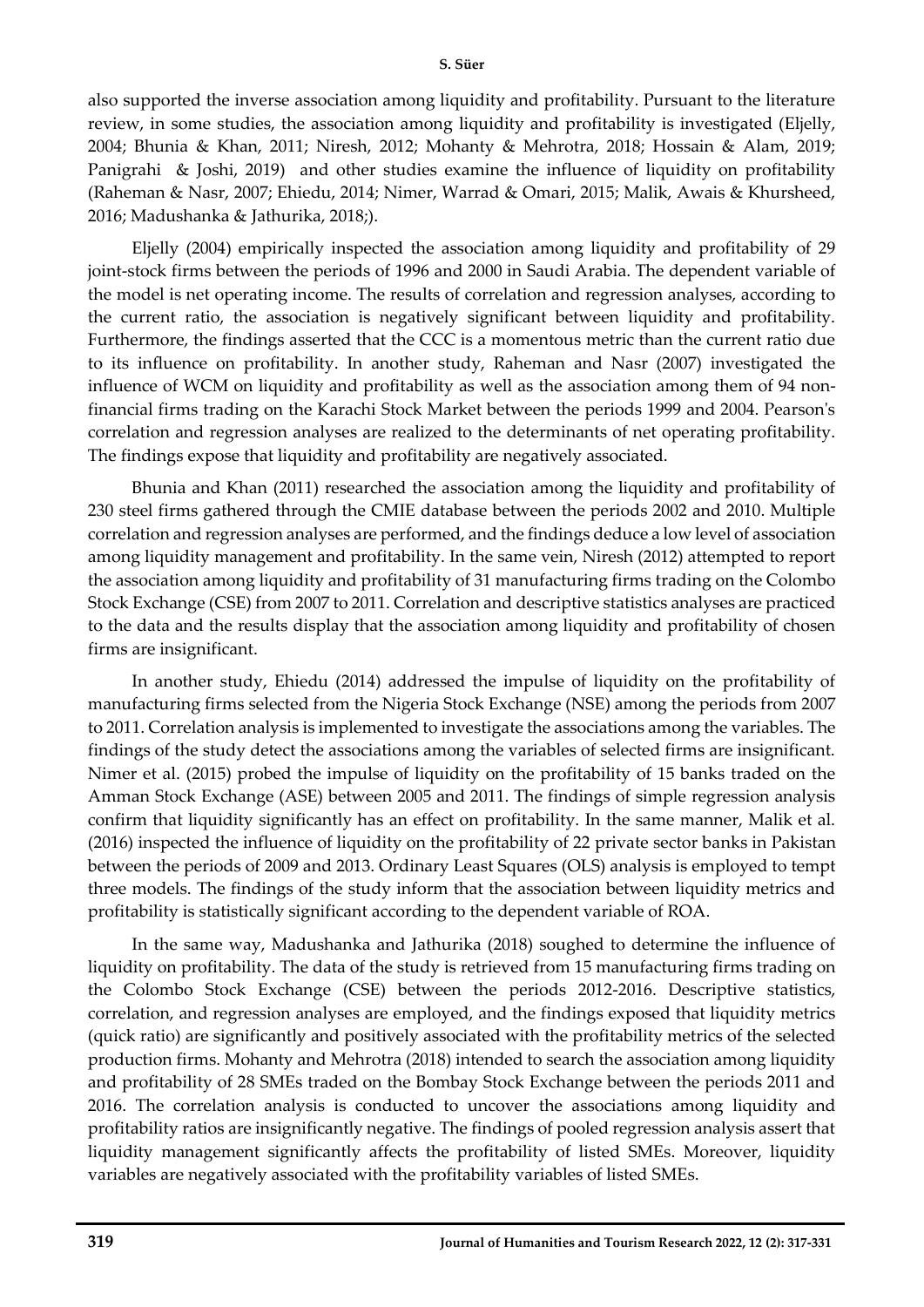also supported the inverse association among liquidity and profitability. Pursuant to the literature review, in some studies, the association among liquidity and profitability is investigated (Eljelly, 2004; Bhunia & Khan, 2011; Niresh, 2012; Mohanty & Mehrotra, 2018; Hossain & Alam, 2019; Panigrahi & Joshi, 2019) and other studies examine the influence of liquidity on profitability (Raheman & Nasr, 2007; Ehiedu, 2014; Nimer, Warrad & Omari, 2015; Malik, Awais & Khursheed, 2016; Madushanka & Jathurika, 2018;).

Eljelly (2004) empirically inspected the association among liquidity and profitability of 29 joint-stock firms between the periods of 1996 and 2000 in Saudi Arabia. The dependent variable of the model is net operating income. The results of correlation and regression analyses, according to the current ratio, the association is negatively significant between liquidity and profitability. Furthermore, the findings asserted that the CCC is a momentous metric than the current ratio due to its influence on profitability. In another study, Raheman and Nasr (2007) investigated the influence of WCM on liquidity and profitability as well as the association among them of 94 nonfinancial firms trading on the Karachi Stock Market between the periods 1999 and 2004. Pearson's correlation and regression analyses are realized to the determinants of net operating profitability. The findings expose that liquidity and profitability are negatively associated.

Bhunia and Khan (2011) researched the association among the liquidity and profitability of 230 steel firms gathered through the CMIE database between the periods 2002 and 2010. Multiple correlation and regression analyses are performed, and the findings deduce a low level of association among liquidity management and profitability. In the same vein, Niresh (2012) attempted to report the association among liquidity and profitability of 31 manufacturing firms trading on the Colombo Stock Exchange (CSE) from 2007 to 2011. Correlation and descriptive statistics analyses are practiced to the data and the results display that the association among liquidity and profitability of chosen firms are insignificant.

In another study, Ehiedu (2014) addressed the impulse of liquidity on the profitability of manufacturing firms selected from the Nigeria Stock Exchange (NSE) among the periods from 2007 to 2011. Correlation analysis is implemented to investigate the associations among the variables. The findings of the study detect the associations among the variables of selected firms are insignificant. Nimer et al. (2015) probed the impulse of liquidity on the profitability of 15 banks traded on the Amman Stock Exchange (ASE) between 2005 and 2011. The findings of simple regression analysis confirm that liquidity significantly has an effect on profitability. In the same manner, Malik et al. (2016) inspected the influence of liquidity on the profitability of 22 private sector banks in Pakistan between the periods of 2009 and 2013. Ordinary Least Squares (OLS) analysis is employed to tempt three models. The findings of the study inform that the association between liquidity metrics and profitability is statistically significant according to the dependent variable of ROA.

In the same way, Madushanka and Jathurika (2018) soughed to determine the influence of liquidity on profitability. The data of the study is retrieved from 15 manufacturing firms trading on the Colombo Stock Exchange (CSE) between the periods 2012-2016. Descriptive statistics, correlation, and regression analyses are employed, and the findings exposed that liquidity metrics (quick ratio) are significantly and positively associated with the profitability metrics of the selected production firms. Mohanty and Mehrotra (2018) intended to search the association among liquidity and profitability of 28 SMEs traded on the Bombay Stock Exchange between the periods 2011 and 2016. The correlation analysis is conducted to uncover the associations among liquidity and profitability ratios are insignificantly negative. The findings of pooled regression analysis assert that liquidity management significantly affects the profitability of listed SMEs. Moreover, liquidity variables are negatively associated with the profitability variables of listed SMEs.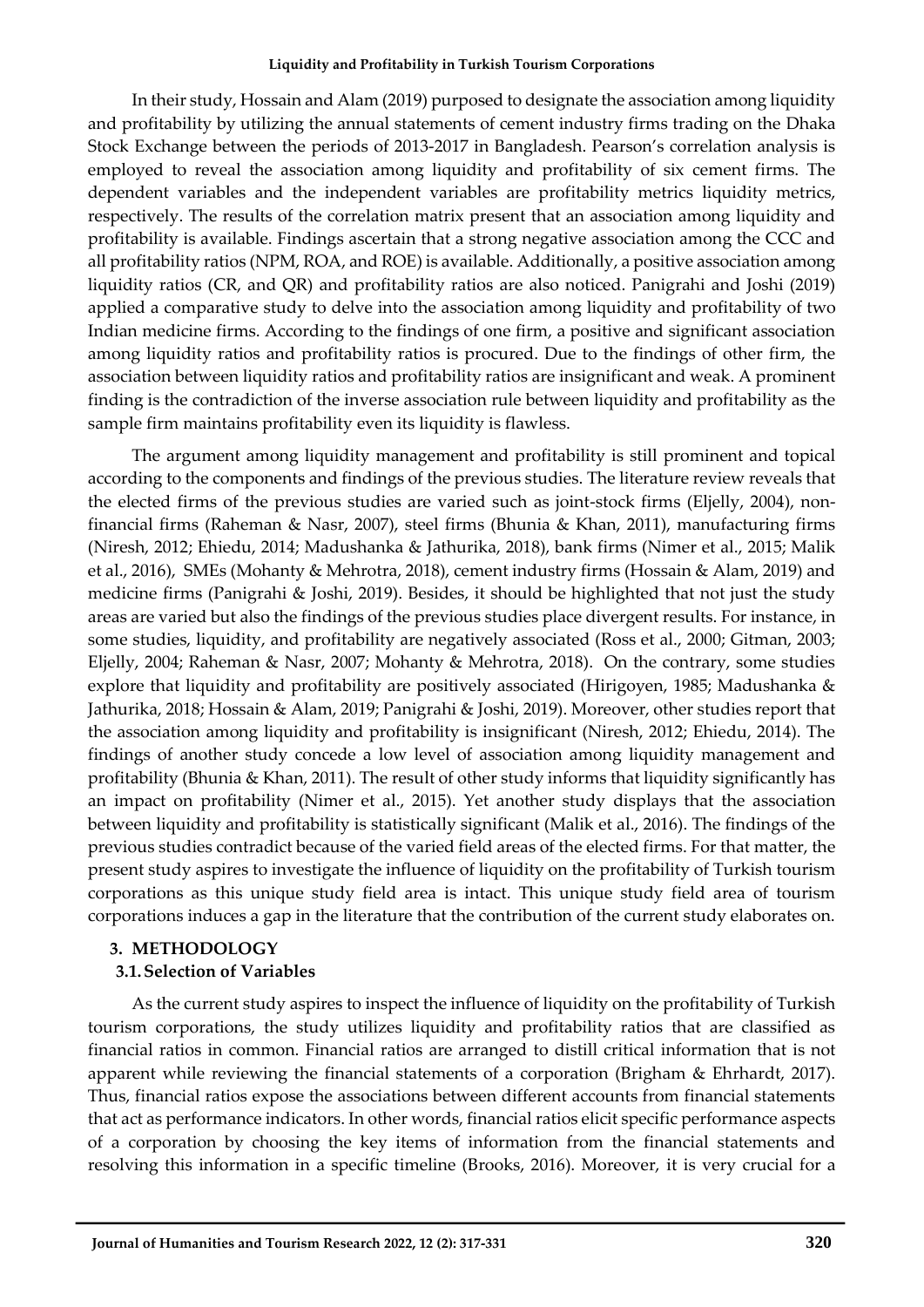In their study, Hossain and Alam (2019) purposed to designate the association among liquidity and profitability by utilizing the annual statements of cement industry firms trading on the Dhaka Stock Exchange between the periods of 2013-2017 in Bangladesh. Pearson's correlation analysis is employed to reveal the association among liquidity and profitability of six cement firms. The dependent variables and the independent variables are profitability metrics liquidity metrics, respectively. The results of the correlation matrix present that an association among liquidity and profitability is available. Findings ascertain that a strong negative association among the CCC and all profitability ratios (NPM, ROA, and ROE) is available. Additionally, a positive association among liquidity ratios (CR, and QR) and profitability ratios are also noticed. Panigrahi and Joshi (2019) applied a comparative study to delve into the association among liquidity and profitability of two Indian medicine firms. According to the findings of one firm, a positive and significant association among liquidity ratios and profitability ratios is procured. Due to the findings of other firm, the association between liquidity ratios and profitability ratios are insignificant and weak. A prominent finding is the contradiction of the inverse association rule between liquidity and profitability as the sample firm maintains profitability even its liquidity is flawless.

The argument among liquidity management and profitability is still prominent and topical according to the components and findings of the previous studies. The literature review reveals that the elected firms of the previous studies are varied such as joint-stock firms (Eljelly, 2004), nonfinancial firms (Raheman & Nasr, 2007), steel firms (Bhunia & Khan, 2011), manufacturing firms (Niresh, 2012; Ehiedu, 2014; Madushanka & Jathurika, 2018), bank firms (Nimer et al., 2015; Malik et al., 2016), SMEs (Mohanty & Mehrotra, 2018), cement industry firms (Hossain & Alam, 2019) and medicine firms (Panigrahi & Joshi, 2019). Besides, it should be highlighted that not just the study areas are varied but also the findings of the previous studies place divergent results. For instance, in some studies, liquidity, and profitability are negatively associated (Ross et al., 2000; Gitman, 2003; Eljelly, 2004; Raheman & Nasr, 2007; Mohanty & Mehrotra, 2018). On the contrary, some studies explore that liquidity and profitability are positively associated (Hirigoyen, 1985; Madushanka & Jathurika, 2018; Hossain & Alam, 2019; Panigrahi & Joshi, 2019). Moreover, other studies report that the association among liquidity and profitability is insignificant (Niresh, 2012; Ehiedu, 2014). The findings of another study concede a low level of association among liquidity management and profitability (Bhunia & Khan, 2011). The result of other study informs that liquidity significantly has an impact on profitability (Nimer et al., 2015). Yet another study displays that the association between liquidity and profitability is statistically significant (Malik et al., 2016). The findings of the previous studies contradict because of the varied field areas of the elected firms. For that matter, the present study aspires to investigate the influence of liquidity on the profitability of Turkish tourism corporations as this unique study field area is intact. This unique study field area of tourism corporations induces a gap in the literature that the contribution of the current study elaborates on.

### **3. METHODOLOGY 3.1.Selection of Variables**

As the current study aspires to inspect the influence of liquidity on the profitability of Turkish tourism corporations, the study utilizes liquidity and profitability ratios that are classified as financial ratios in common. Financial ratios are arranged to distill critical information that is not apparent while reviewing the financial statements of a corporation (Brigham & Ehrhardt, 2017). Thus, financial ratios expose the associations between different accounts from financial statements that act as performance indicators. In other words, financial ratios elicit specific performance aspects of a corporation by choosing the key items of information from the financial statements and resolving this information in a specific timeline (Brooks, 2016). Moreover, it is very crucial for a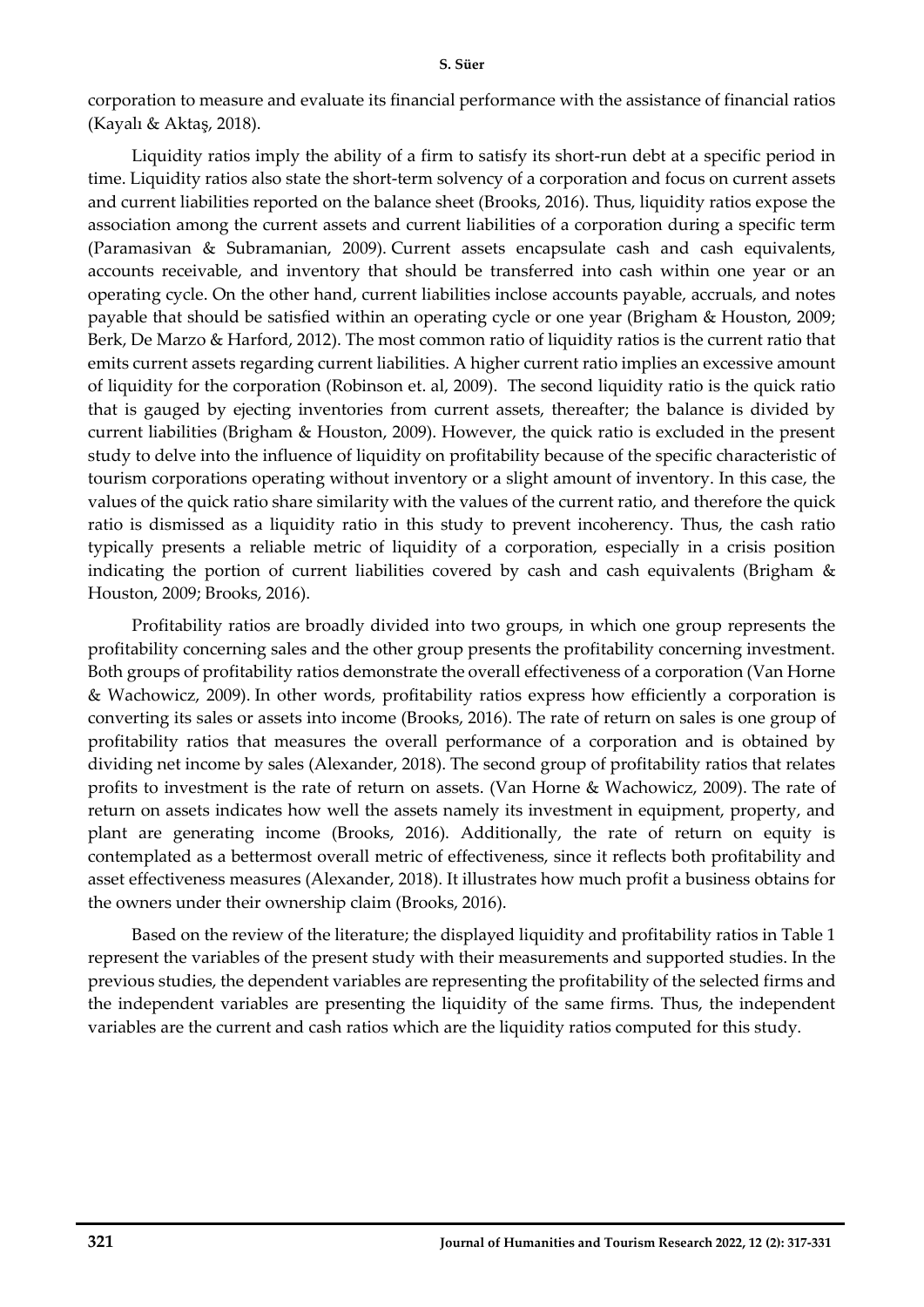#### **S. Süer**

corporation to measure and evaluate its financial performance with the assistance of financial ratios (Kayalı & Aktaş, 2018).

Liquidity ratios imply the ability of a firm to satisfy its short-run debt at a specific period in time. Liquidity ratios also state the short-term solvency of a corporation and focus on current assets and current liabilities reported on the balance sheet (Brooks, 2016). Thus, liquidity ratios expose the association among the current assets and current liabilities of a corporation during a specific term (Paramasivan & Subramanian, 2009). Current assets encapsulate cash and cash equivalents, accounts receivable, and inventory that should be transferred into cash within one year or an operating cycle. On the other hand, current liabilities inclose accounts payable, accruals, and notes payable that should be satisfied within an operating cycle or one year (Brigham & Houston, 2009; Berk, De Marzo & Harford, 2012). The most common ratio of liquidity ratios is the current ratio that emits current assets regarding current liabilities. A higher current ratio implies an excessive amount of liquidity for the corporation (Robinson et. al, 2009). The second liquidity ratio is the quick ratio that is gauged by ejecting inventories from current assets, thereafter; the balance is divided by current liabilities (Brigham & Houston, 2009). However, the quick ratio is excluded in the present study to delve into the influence of liquidity on profitability because of the specific characteristic of tourism corporations operating without inventory or a slight amount of inventory. In this case, the values of the quick ratio share similarity with the values of the current ratio, and therefore the quick ratio is dismissed as a liquidity ratio in this study to prevent incoherency. Thus, the cash ratio typically presents a reliable metric of liquidity of a corporation, especially in a crisis position indicating the portion of current liabilities covered by cash and cash equivalents (Brigham & Houston, 2009; Brooks, 2016).

Profitability ratios are broadly divided into two groups, in which one group represents the profitability concerning sales and the other group presents the profitability concerning investment. Both groups of profitability ratios demonstrate the overall effectiveness of a corporation (Van Horne & Wachowicz, 2009). In other words, profitability ratios express how efficiently a corporation is converting its sales or assets into income (Brooks, 2016). The rate of return on sales is one group of profitability ratios that measures the overall performance of a corporation and is obtained by dividing net income by sales (Alexander, 2018). The second group of profitability ratios that relates profits to investment is the rate of return on assets. (Van Horne & Wachowicz, 2009). The rate of return on assets indicates how well the assets namely its investment in equipment, property, and plant are generating income (Brooks, 2016). Additionally, the rate of return on equity is contemplated as a bettermost overall metric of effectiveness, since it reflects both profitability and asset effectiveness measures (Alexander, 2018). It illustrates how much profit a business obtains for the owners under their ownership claim (Brooks, 2016).

Based on the review of the literature; the displayed liquidity and profitability ratios in Table 1 represent the variables of the present study with their measurements and supported studies. In the previous studies, the dependent variables are representing the profitability of the selected firms and the independent variables are presenting the liquidity of the same firms. Thus, the independent variables are the current and cash ratios which are the liquidity ratios computed for this study.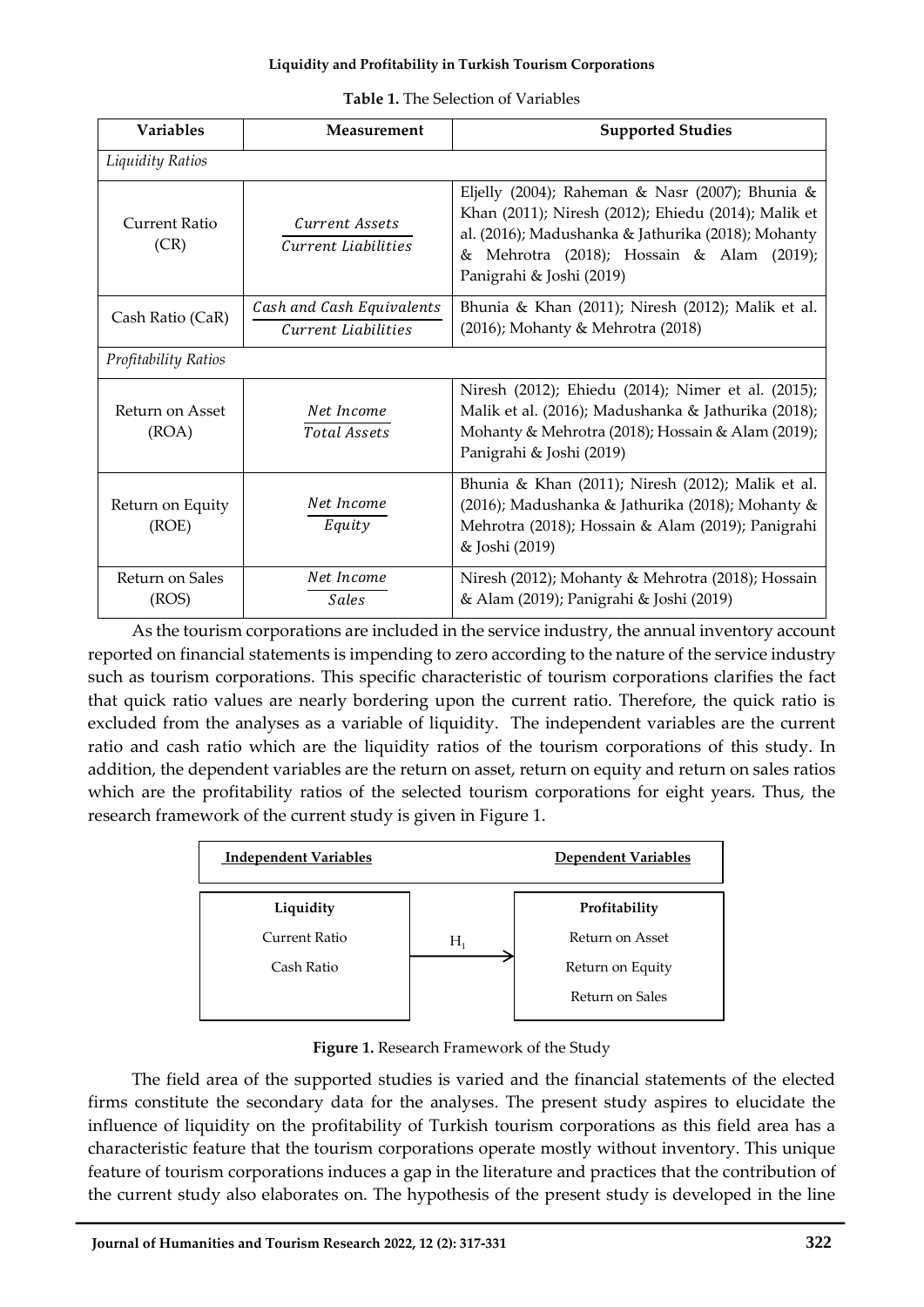| <b>Table 1.</b> The Selection of Variables |
|--------------------------------------------|
|--------------------------------------------|

| <b>Variables</b>          | Measurement                                      | <b>Supported Studies</b>                                                                                                                                                                                                                 |
|---------------------------|--------------------------------------------------|------------------------------------------------------------------------------------------------------------------------------------------------------------------------------------------------------------------------------------------|
| Liquidity Ratios          |                                                  |                                                                                                                                                                                                                                          |
| Current Ratio<br>(CR)     | Current Assets<br>Current Liabilities            | Eljelly (2004); Raheman & Nasr (2007); Bhunia &<br>Khan (2011); Niresh (2012); Ehiedu (2014); Malik et<br>al. (2016); Madushanka & Jathurika (2018); Mohanty<br>Mehrotra (2018); Hossain & Alam (2019);<br>&<br>Panigrahi & Joshi (2019) |
| Cash Ratio (CaR)          | Cash and Cash Equivalents<br>Current Liabilities | Bhunia & Khan (2011); Niresh (2012); Malik et al.<br>(2016); Mohanty & Mehrotra (2018)                                                                                                                                                   |
| Profitability Ratios      |                                                  |                                                                                                                                                                                                                                          |
| Return on Asset<br>(ROA)  | Net Income<br>Total Assets                       | Niresh (2012); Ehiedu (2014); Nimer et al. (2015);<br>Malik et al. (2016); Madushanka & Jathurika (2018);<br>Mohanty & Mehrotra (2018); Hossain & Alam (2019);<br>Panigrahi & Joshi (2019)                                               |
| Return on Equity<br>(ROE) | Net Income<br>Equity                             | Bhunia & Khan (2011); Niresh (2012); Malik et al.<br>(2016); Madushanka & Jathurika (2018); Mohanty &<br>Mehrotra (2018); Hossain & Alam (2019); Panigrahi<br>& Joshi (2019)                                                             |
| Return on Sales<br>(ROS)  | Net Income<br>Sales                              | Niresh (2012); Mohanty & Mehrotra (2018); Hossain<br>& Alam (2019); Panigrahi & Joshi (2019)                                                                                                                                             |

As the tourism corporations are included in the service industry, the annual inventory account reported on financial statements is impending to zero according to the nature of the service industry such as tourism corporations. This specific characteristic of tourism corporations clarifies the fact that quick ratio values are nearly bordering upon the current ratio. Therefore, the quick ratio is excluded from the analyses as a variable of liquidity. The independent variables are the current ratio and cash ratio which are the liquidity ratios of the tourism corporations of this study. In addition, the dependent variables are the return on asset, return on equity and return on sales ratios which are the profitability ratios of the selected tourism corporations for eight years. Thus, the research framework of the current study is given in Figure 1.



**Figure 1.** Research Framework of the Study

The field area of the supported studies is varied and the financial statements of the elected firms constitute the secondary data for the analyses. The present study aspires to elucidate the influence of liquidity on the profitability of Turkish tourism corporations as this field area has a characteristic feature that the tourism corporations operate mostly without inventory. This unique feature of tourism corporations induces a gap in the literature and practices that the contribution of the current study also elaborates on. The hypothesis of the present study is developed in the line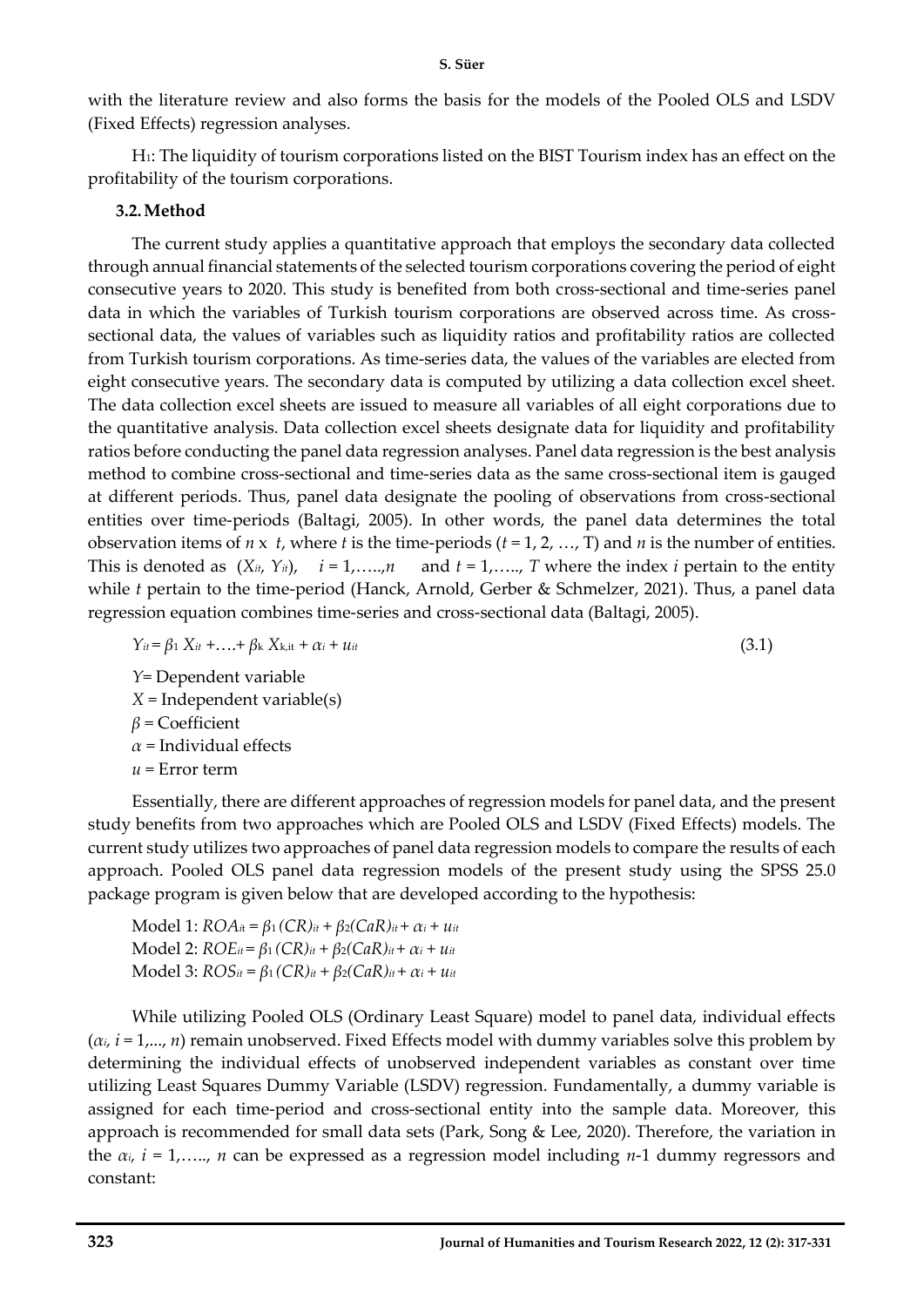with the literature review and also forms the basis for the models of the Pooled OLS and LSDV (Fixed Effects) regression analyses.

H1: The liquidity of tourism corporations listed on the BIST Tourism index has an effect on the profitability of the tourism corporations.

## **3.2.Method**

The current study applies a quantitative approach that employs the secondary data collected through annual financial statements of the selected tourism corporations covering the period of eight consecutive years to 2020. This study is benefited from both cross-sectional and time-series panel data in which the variables of Turkish tourism corporations are observed across time. As crosssectional data, the values of variables such as liquidity ratios and profitability ratios are collected from Turkish tourism corporations. As time-series data, the values of the variables are elected from eight consecutive years. The secondary data is computed by utilizing a data collection excel sheet. The data collection excel sheets are issued to measure all variables of all eight corporations due to the quantitative analysis. Data collection excel sheets designate data for liquidity and profitability ratios before conducting the panel data regression analyses. Panel data regression is the best analysis method to combine cross-sectional and time-series data as the same cross-sectional item is gauged at different periods. Thus, panel data designate the pooling of observations from cross-sectional entities over time-periods (Baltagi, 2005). In other words, the panel data determines the total observation items of  $n \times t$ , where  $t$  is the time-periods  $(t = 1, 2, ..., T)$  and  $n$  is the number of entities. This is denoted as  $(X_{it}, Y_{it})$ ,  $i = 1, \ldots, n$  and  $t = 1, \ldots, T$  where the index *i* pertain to the entity while *t* pertain to the time-period (Hanck, Arnold, Gerber & Schmelzer, 2021). Thus, a panel data regression equation combines time-series and cross-sectional data (Baltagi, 2005).

$$
\gamma_{it} = \beta_1 X_{it} + \ldots + \beta_k X_{k,it} + \alpha_i + \mu_{it}
$$
\n
$$
(3.1)
$$

*Y*= Dependent variable *X* = Independent variable(s) *β* = Coefficient *α* = Individual effects *u* = Error term

Essentially, there are different approaches of regression models for panel data, and the present study benefits from two approaches which are Pooled OLS and LSDV (Fixed Effects) models. The current study utilizes two approaches of panel data regression models to compare the results of each approach. Pooled OLS panel data regression models of the present study using the SPSS 25.0 package program is given below that are developed according to the hypothesis:

 $Model 1: ROA<sub>it</sub> = β<sub>1</sub>(CR)<sub>it</sub> + β<sub>2</sub>(CaR)<sub>it</sub> + α<sub>i</sub> + u<sub>it</sub>$ *Model 2:*  $ROE_{it} = β_1 (CR)_{it} + β_2 (CaR)_{it} + α_i + u_{it}$ *Model 3:*  $ROS_{it} = β_1 (CR)_{it} + β_2 (CaR)_{it} + α_i + u_{it}$ 

While utilizing Pooled OLS (Ordinary Least Square) model to panel data, individual effects  $(\alpha_i, i = 1,..., n)$  remain unobserved. Fixed Effects model with dummy variables solve this problem by determining the individual effects of unobserved independent variables as constant over time utilizing Least Squares Dummy Variable (LSDV) regression. Fundamentally, a dummy variable is assigned for each time-period and cross-sectional entity into the sample data. Moreover, this approach is recommended for small data sets (Park, Song & Lee, 2020). Therefore, the variation in the  $\alpha_i$ ,  $i = 1, \ldots, n$  can be expressed as a regression model including *n*-1 dummy regressors and constant: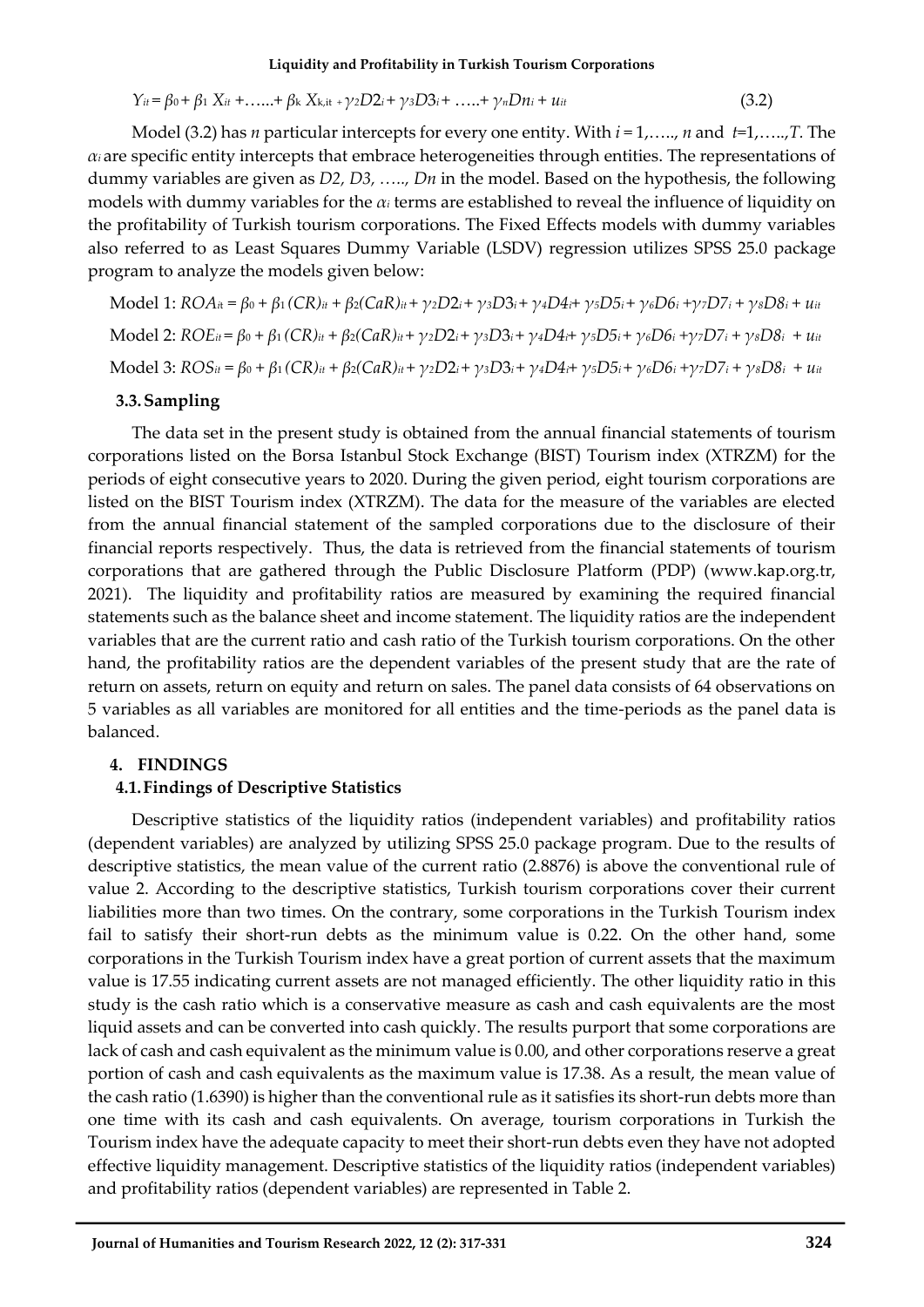$$
Y_{ii} = \beta_0 + \beta_1 X_{ii} + \dots + \beta_k X_{k,i} + \gamma_2 D2_i + \gamma_3 D3_i + \dots + \gamma_n Dn_i + u_{it}
$$
(3.2)

Model (3.2) has *n* particular intercepts for every one entity. With *i* = 1,….., *n* and *t*=1,…..,*T.* The  $\alpha_i$  are specific entity intercepts that embrace heterogeneities through entities. The representations of dummy variables are given as *D2, D3, ….., Dn* in the model. Based on the hypothesis, the following models with dummy variables for the *α<sup>i</sup>* terms are established to reveal the influence of liquidity on the profitability of Turkish tourism corporations. The Fixed Effects models with dummy variables also referred to as Least Squares Dummy Variable (LSDV) regression utilizes SPSS 25.0 package program to analyze the models given below:

Model 1:  $ROA_{it} = \beta_0 + \beta_1 (CR)_{it} + \beta_2 (CaR)_{it} + \gamma_2 D2_{i} + \gamma_3 D3_{i} + \gamma_4 D4_{i} + \gamma_5 D5_{i} + \gamma_6 D6_{i} + \gamma_7 D7_{i} + \gamma_8 D8_{i} + u_{it}$ Model 2:  $ROE_{it} = \beta_0 + \beta_1 (CR)_{it} + \beta_2 (CaR)_{it} + \gamma_2 D2_i + \gamma_3 D3_i + \gamma_4 D4_i + \gamma_5 D5_i + \gamma_6 D6_i + \gamma_7 D7_i + \gamma_8 D8_i + u_{it}$ Model 3:  $ROS_{it} = \beta_0 + \beta_1 (CR)_{it} + \beta_2 (CaR)_{it} + \gamma_2 D2_i + \gamma_3 D3_i + \gamma_4 D4_i + \gamma_5 D5_i + \gamma_6 D6_i + \gamma_7 D7_i + \gamma_8 D8_i + u_{it}$ 

### **3.3.Sampling**

The data set in the present study is obtained from the annual financial statements of tourism corporations listed on the Borsa Istanbul Stock Exchange (BIST) Tourism index (XTRZM) for the periods of eight consecutive years to 2020. During the given period, eight tourism corporations are listed on the BIST Tourism index (XTRZM). The data for the measure of the variables are elected from the annual financial statement of the sampled corporations due to the disclosure of their financial reports respectively. Thus, the data is retrieved from the financial statements of tourism corporations that are gathered through the Public Disclosure Platform (PDP) [\(www.kap.org.tr,](http://www.kap.org.tr/) 2021). The liquidity and profitability ratios are measured by examining the required financial statements such as the balance sheet and income statement. The liquidity ratios are the independent variables that are the current ratio and cash ratio of the Turkish tourism corporations. On the other hand, the profitability ratios are the dependent variables of the present study that are the rate of return on assets, return on equity and return on sales. The panel data consists of 64 observations on 5 variables as all variables are monitored for all entities and the time-periods as the panel data is balanced.

## **4. FINDINGS**

## **4.1.Findings of Descriptive Statistics**

Descriptive statistics of the liquidity ratios (independent variables) and profitability ratios (dependent variables) are analyzed by utilizing SPSS 25.0 package program. Due to the results of descriptive statistics, the mean value of the current ratio (2.8876) is above the conventional rule of value 2. According to the descriptive statistics, Turkish tourism corporations cover their current liabilities more than two times. On the contrary, some corporations in the Turkish Tourism index fail to satisfy their short-run debts as the minimum value is 0.22. On the other hand, some corporations in the Turkish Tourism index have a great portion of current assets that the maximum value is 17.55 indicating current assets are not managed efficiently. The other liquidity ratio in this study is the cash ratio which is a conservative measure as cash and cash equivalents are the most liquid assets and can be converted into cash quickly. The results purport that some corporations are lack of cash and cash equivalent as the minimum value is 0.00, and other corporations reserve a great portion of cash and cash equivalents as the maximum value is 17.38. As a result, the mean value of the cash ratio (1.6390) is higher than the conventional rule as it satisfies its short-run debts more than one time with its cash and cash equivalents. On average, tourism corporations in Turkish the Tourism index have the adequate capacity to meet their short-run debts even they have not adopted effective liquidity management. Descriptive statistics of the liquidity ratios (independent variables) and profitability ratios (dependent variables) are represented in Table 2.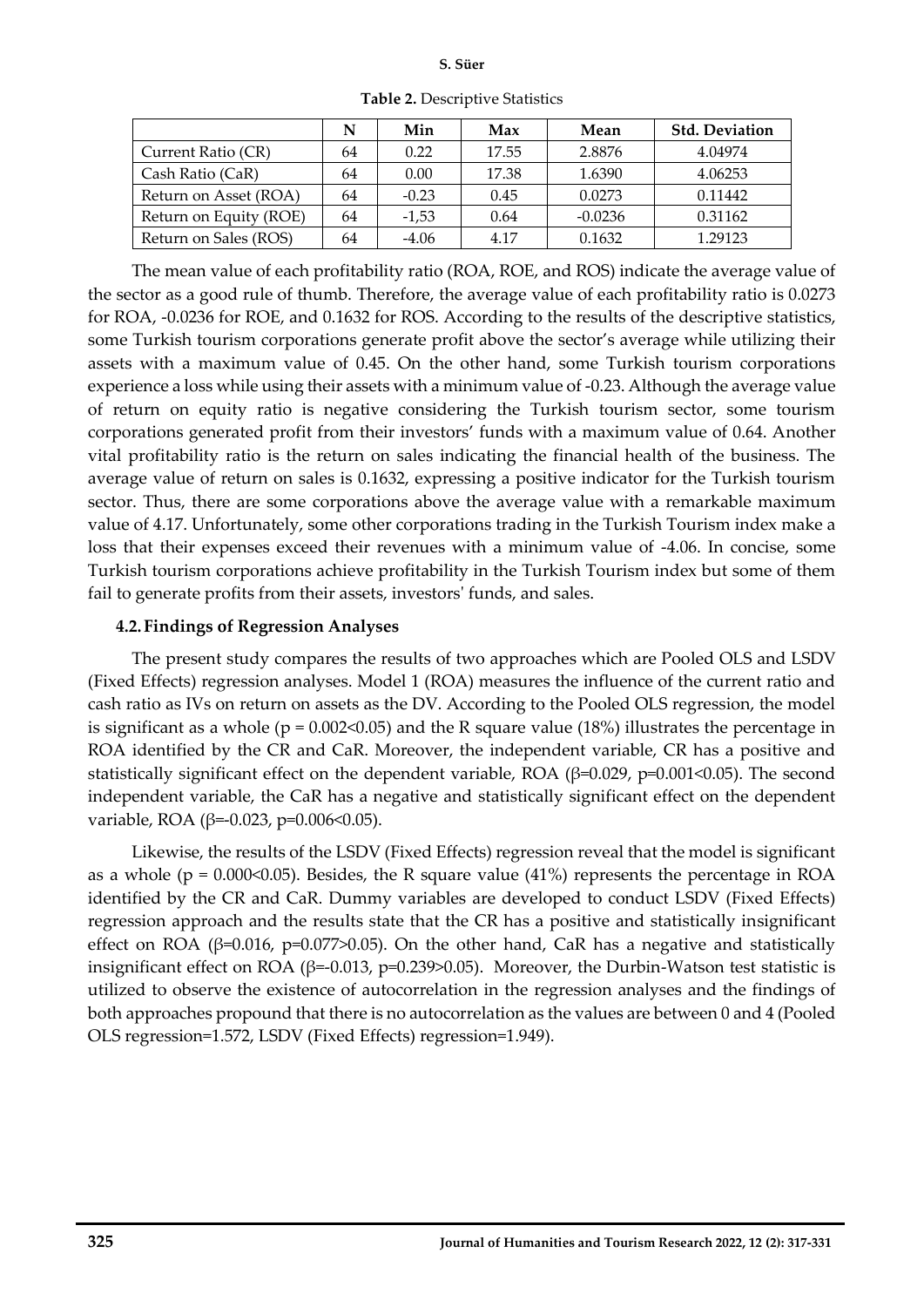|                        | N  | Min     | Max   | Mean      | <b>Std. Deviation</b> |
|------------------------|----|---------|-------|-----------|-----------------------|
| Current Ratio (CR)     | 64 | 0.22    | 17.55 | 2.8876    | 4.04974               |
| Cash Ratio (CaR)       | 64 | 0.00    | 17.38 | 1.6390    | 4.06253               |
| Return on Asset (ROA)  | 64 | $-0.23$ | 0.45  | 0.0273    | 0.11442               |
| Return on Equity (ROE) | 64 | $-1,53$ | 0.64  | $-0.0236$ | 0.31162               |
| Return on Sales (ROS)  | 64 | $-4.06$ | 4.17  | 0.1632    | 1.29123               |

**Table 2.** Descriptive Statistics

The mean value of each profitability ratio (ROA, ROE, and ROS) indicate the average value of the sector as a good rule of thumb. Therefore, the average value of each profitability ratio is 0.0273 for ROA, -0.0236 for ROE, and 0.1632 for ROS. According to the results of the descriptive statistics, some Turkish tourism corporations generate profit above the sector's average while utilizing their assets with a maximum value of 0.45. On the other hand, some Turkish tourism corporations experience a loss while using their assets with a minimum value of -0.23. Although the average value of return on equity ratio is negative considering the Turkish tourism sector, some tourism corporations generated profit from their investors' funds with a maximum value of 0.64. Another vital profitability ratio is the return on sales indicating the financial health of the business. The average value of return on sales is 0.1632, expressing a positive indicator for the Turkish tourism sector. Thus, there are some corporations above the average value with a remarkable maximum value of 4.17. Unfortunately, some other corporations trading in the Turkish Tourism index make a loss that their expenses exceed their revenues with a minimum value of -4.06. In concise, some Turkish tourism corporations achieve profitability in the Turkish Tourism index but some of them fail to generate profits from their assets, investors' funds, and sales.

### **4.2.Findings of Regression Analyses**

The present study compares the results of two approaches which are Pooled OLS and LSDV (Fixed Effects) regression analyses. Model 1 (ROA) measures the influence of the current ratio and cash ratio as IVs on return on assets as the DV. According to the Pooled OLS regression, the model is significant as a whole ( $p = 0.002 \le 0.05$ ) and the R square value (18%) illustrates the percentage in ROA identified by the CR and CaR. Moreover, the independent variable, CR has a positive and statistically significant effect on the dependent variable, ROA ( $\beta$ =0.029, p=0.001<0.05). The second independent variable, the CaR has a negative and statistically significant effect on the dependent variable, ROA (β=-0.023, p=0.006<0.05).

Likewise, the results of the LSDV (Fixed Effects) regression reveal that the model is significant as a whole ( $p = 0.000 \le 0.05$ ). Besides, the R square value (41%) represents the percentage in ROA identified by the CR and CaR. Dummy variables are developed to conduct LSDV (Fixed Effects) regression approach and the results state that the CR has a positive and statistically insignificant effect on ROA ( $\beta$ =0.016, p=0.077>0.05). On the other hand, CaR has a negative and statistically insignificant effect on ROA (β=-0.013, p=0.239>0.05). Moreover, the Durbin-Watson test statistic is utilized to observe the existence of autocorrelation in the regression analyses and the findings of both approaches propound that there is no autocorrelation as the values are between 0 and 4 (Pooled OLS regression=1.572, LSDV (Fixed Effects) regression=1.949).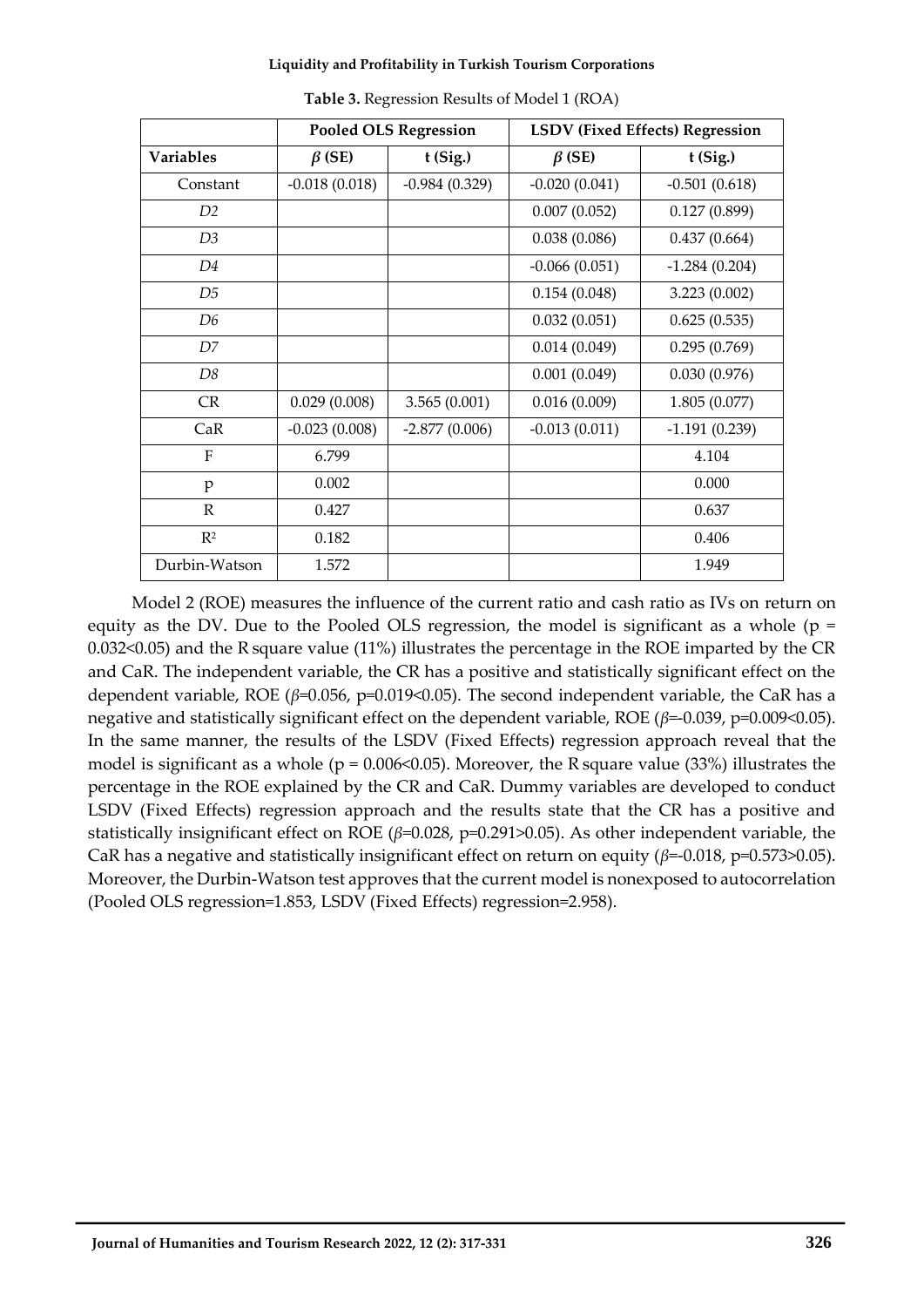|                  | <b>Pooled OLS Regression</b> |                 |                 | <b>LSDV (Fixed Effects) Regression</b> |
|------------------|------------------------------|-----------------|-----------------|----------------------------------------|
| <b>Variables</b> | $\beta$ (SE)                 | $t$ (Sig.)      | $\beta$ (SE)    | $t$ (Sig.)                             |
| Constant         | $-0.018(0.018)$              | $-0.984(0.329)$ | $-0.020(0.041)$ | $-0.501(0.618)$                        |
| D <sub>2</sub>   |                              |                 | 0.007(0.052)    | 0.127(0.899)                           |
| D <sub>3</sub>   |                              |                 | 0.038(0.086)    | 0.437(0.664)                           |
| D4               |                              |                 | $-0.066(0.051)$ | $-1.284(0.204)$                        |
| D5               |                              |                 | 0.154(0.048)    | 3.223(0.002)                           |
| D6               |                              |                 | 0.032(0.051)    | 0.625(0.535)                           |
| D7               |                              |                 | 0.014(0.049)    | 0.295(0.769)                           |
| D8               |                              |                 | 0.001(0.049)    | 0.030(0.976)                           |
| CR               | 0.029(0.008)                 | 3.565(0.001)    | 0.016(0.009)    | 1.805(0.077)                           |
| CaR              | $-0.023(0.008)$              | $-2.877(0.006)$ | $-0.013(0.011)$ | $-1.191(0.239)$                        |
| F                | 6.799                        |                 |                 | 4.104                                  |
| p                | 0.002                        |                 |                 | 0.000                                  |
| $\mathbb{R}$     | 0.427                        |                 |                 | 0.637                                  |
| $R^2$            | 0.182                        |                 |                 | 0.406                                  |
| Durbin-Watson    | 1.572                        |                 |                 | 1.949                                  |

**Table 3.** Regression Results of Model 1 (ROA)

Model 2 (ROE) measures the influence of the current ratio and cash ratio as IVs on return on equity as the DV. Due to the Pooled OLS regression, the model is significant as a whole ( $p =$ 0.032<0.05) and the R square value (11%) illustrates the percentage in the ROE imparted by the CR and CaR. The independent variable, the CR has a positive and statistically significant effect on the dependent variable, ROE (*β*=0.056, p=0.019<0.05). The second independent variable, the CaR has a negative and statistically significant effect on the dependent variable, ROE (*β*=-0.039, p=0.009<0.05). In the same manner, the results of the LSDV (Fixed Effects) regression approach reveal that the model is significant as a whole ( $p = 0.006 \le 0.05$ ). Moreover, the R square value (33%) illustrates the percentage in the ROE explained by the CR and CaR. Dummy variables are developed to conduct LSDV (Fixed Effects) regression approach and the results state that the CR has a positive and statistically insignificant effect on ROE (*β*=0.028, p=0.291>0.05). As other independent variable, the CaR has a negative and statistically insignificant effect on return on equity (*β*=-0.018, p=0.573>0.05). Moreover, the Durbin-Watson test approves that the current model is nonexposed to autocorrelation (Pooled OLS regression=1.853, LSDV (Fixed Effects) regression=2.958).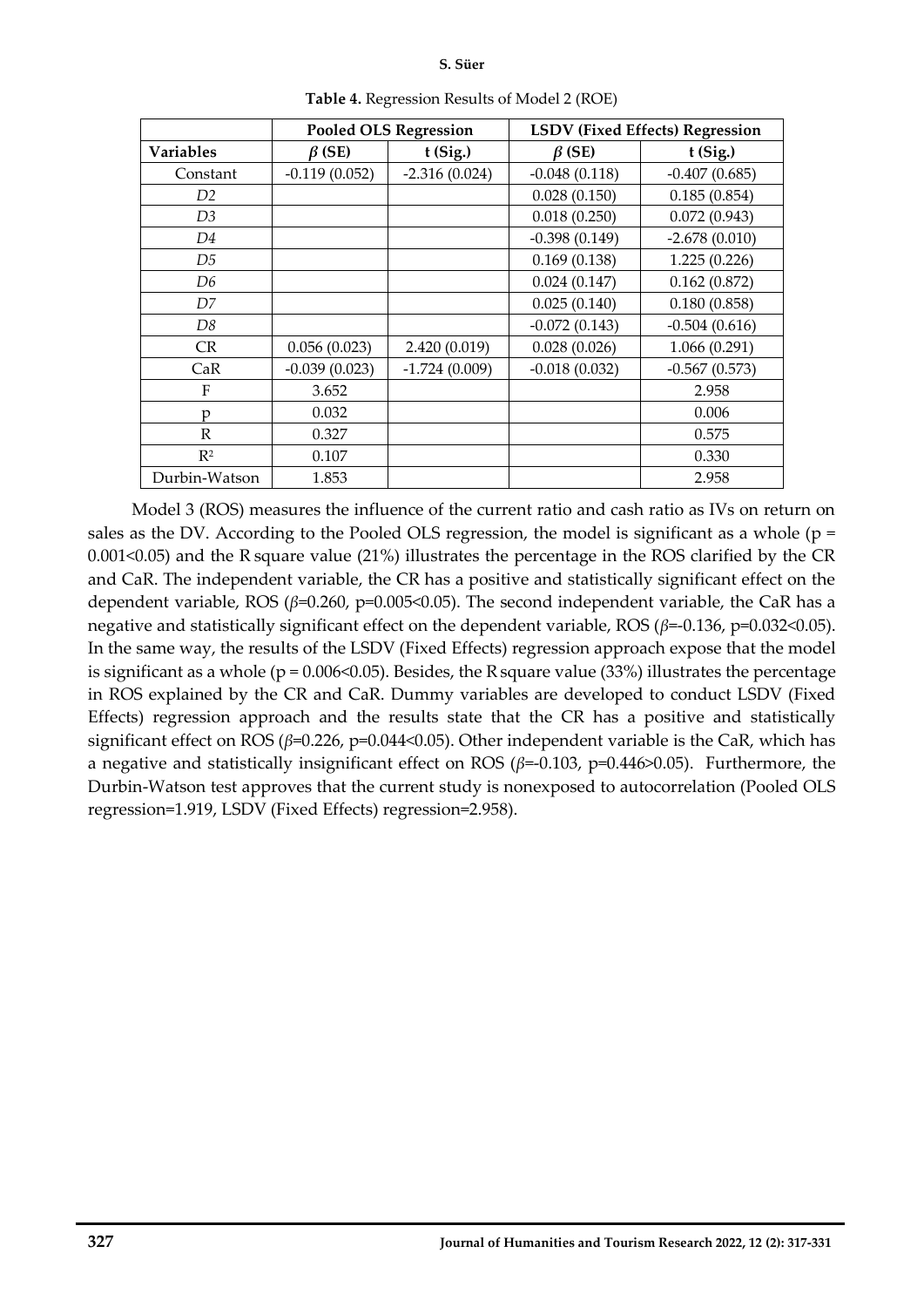#### **S. Süer**

|                  | <b>Pooled OLS Regression</b> |                 | <b>LSDV (Fixed Effects) Regression</b> |                 |
|------------------|------------------------------|-----------------|----------------------------------------|-----------------|
| <b>Variables</b> | $\beta$ (SE)                 | $t$ (Sig.)      | $\beta$ (SE)                           | $t$ (Sig.)      |
| Constant         | $-0.119(0.052)$              | $-2.316(0.024)$ | $-0.048(0.118)$                        | $-0.407(0.685)$ |
| D <sub>2</sub>   |                              |                 | 0.028(0.150)                           | 0.185(0.854)    |
| D3               |                              |                 | 0.018(0.250)                           | 0.072(0.943)    |
| D4               |                              |                 | $-0.398(0.149)$                        | $-2.678(0.010)$ |
| D5               |                              |                 | 0.169(0.138)                           | 1.225(0.226)    |
| D6               |                              |                 | 0.024(0.147)                           | 0.162(0.872)    |
| D7               |                              |                 | 0.025(0.140)                           | 0.180(0.858)    |
| D8               |                              |                 | $-0.072(0.143)$                        | $-0.504(0.616)$ |
| <b>CR</b>        | 0.056(0.023)                 | 2.420 (0.019)   | 0.028(0.026)                           | 1.066(0.291)    |
| CaR              | $-0.039(0.023)$              | $-1.724(0.009)$ | $-0.018(0.032)$                        | $-0.567(0.573)$ |
| F                | 3.652                        |                 |                                        | 2.958           |
| D                | 0.032                        |                 |                                        | 0.006           |
| R                | 0.327                        |                 |                                        | 0.575           |
| R <sup>2</sup>   | 0.107                        |                 |                                        | 0.330           |
| Durbin-Watson    | 1.853                        |                 |                                        | 2.958           |

**Table 4.** Regression Results of Model 2 (ROE)

Model 3 (ROS) measures the influence of the current ratio and cash ratio as IVs on return on sales as the DV. According to the Pooled OLS regression, the model is significant as a whole ( $p =$ 0.001<0.05) and the R square value (21%) illustrates the percentage in the ROS clarified by the CR and CaR. The independent variable, the CR has a positive and statistically significant effect on the dependent variable, ROS (*β*=0.260, p=0.005<0.05). The second independent variable, the CaR has a negative and statistically significant effect on the dependent variable, ROS (*β*=-0.136, p=0.032<0.05). In the same way, the results of the LSDV (Fixed Effects) regression approach expose that the model is significant as a whole ( $p = 0.006 \le 0.05$ ). Besides, the R square value (33%) illustrates the percentage in ROS explained by the CR and CaR. Dummy variables are developed to conduct LSDV (Fixed Effects) regression approach and the results state that the CR has a positive and statistically significant effect on ROS (*β*=0.226, p=0.044<0.05). Other independent variable is the CaR, which has a negative and statistically insignificant effect on ROS (*β*=-0.103, p=0.446>0.05). Furthermore, the Durbin-Watson test approves that the current study is nonexposed to autocorrelation (Pooled OLS regression=1.919, LSDV (Fixed Effects) regression=2.958).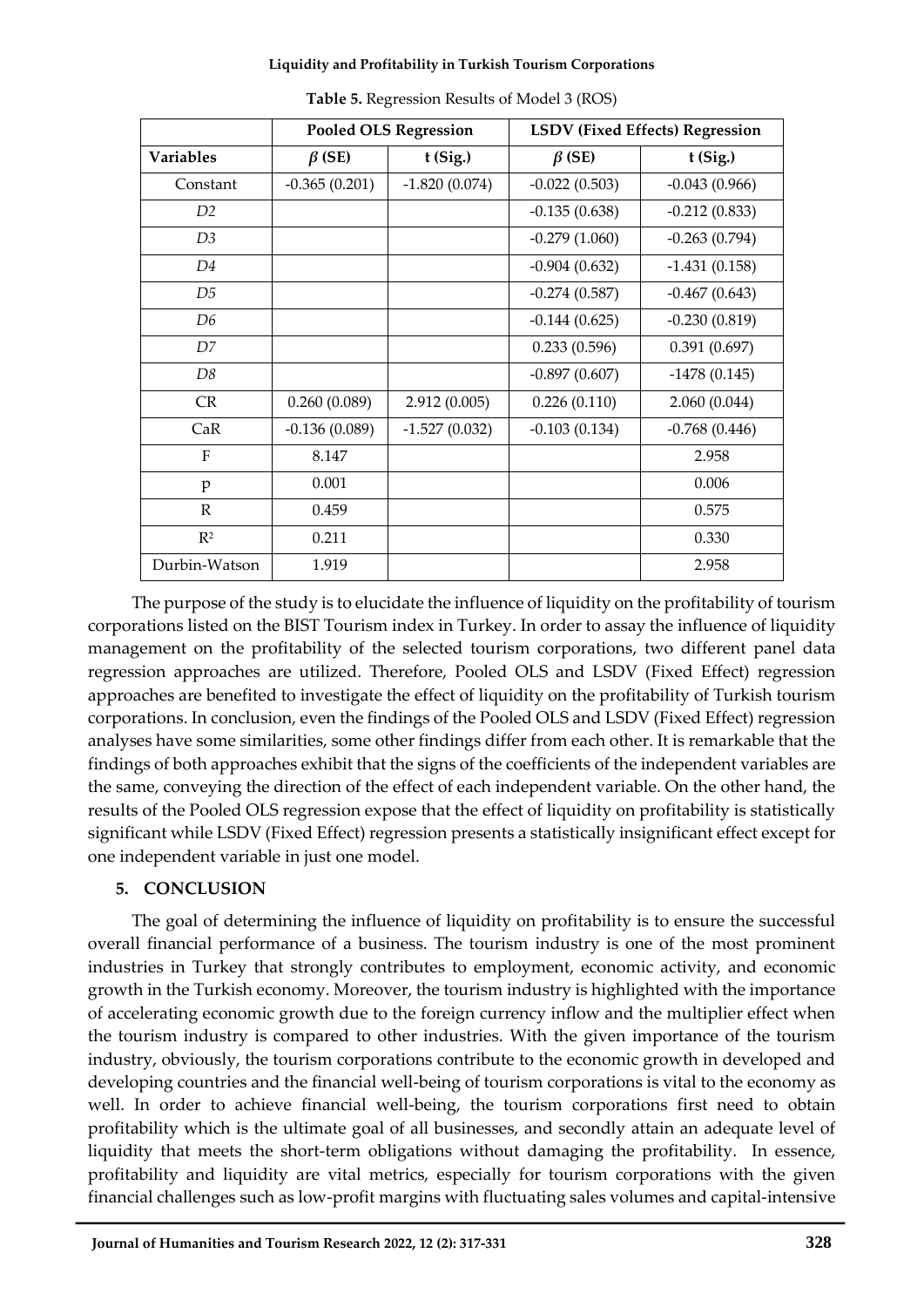|                | <b>Pooled OLS Regression</b> |                 |                 | LSDV (Fixed Effects) Regression |
|----------------|------------------------------|-----------------|-----------------|---------------------------------|
| Variables      | $\beta$ (SE)                 | $t$ (Sig.)      | $\beta$ (SE)    | $t$ (Sig.)                      |
| Constant       | $-0.365(0.201)$              | $-1.820(0.074)$ | $-0.022(0.503)$ | $-0.043(0.966)$                 |
| D <sub>2</sub> |                              |                 | $-0.135(0.638)$ | $-0.212(0.833)$                 |
| D3             |                              |                 | $-0.279(1.060)$ | $-0.263(0.794)$                 |
| D4             |                              |                 | $-0.904(0.632)$ | $-1.431(0.158)$                 |
| D5             |                              |                 | $-0.274(0.587)$ | $-0.467(0.643)$                 |
| D6             |                              |                 | $-0.144(0.625)$ | $-0.230(0.819)$                 |
| D7             |                              |                 | 0.233(0.596)    | 0.391(0.697)                    |
| D8             |                              |                 | $-0.897(0.607)$ | $-1478(0.145)$                  |
| <b>CR</b>      | 0.260(0.089)                 | 2.912(0.005)    | 0.226(0.110)    | 2.060(0.044)                    |
| CaR            | $-0.136(0.089)$              | $-1.527(0.032)$ | $-0.103(0.134)$ | $-0.768(0.446)$                 |
| F              | 8.147                        |                 |                 | 2.958                           |
| p              | 0.001                        |                 |                 | 0.006                           |
| $\mathbb{R}$   | 0.459                        |                 |                 | 0.575                           |
| $R^2$          | 0.211                        |                 |                 | 0.330                           |
| Durbin-Watson  | 1.919                        |                 |                 | 2.958                           |

**Table 5.** Regression Results of Model 3 (ROS)

The purpose of the study is to elucidate the influence of liquidity on the profitability of tourism corporations listed on the BIST Tourism index in Turkey. In order to assay the influence of liquidity management on the profitability of the selected tourism corporations, two different panel data regression approaches are utilized. Therefore, Pooled OLS and LSDV (Fixed Effect) regression approaches are benefited to investigate the effect of liquidity on the profitability of Turkish tourism corporations. In conclusion, even the findings of the Pooled OLS and LSDV (Fixed Effect) regression analyses have some similarities, some other findings differ from each other. It is remarkable that the findings of both approaches exhibit that the signs of the coefficients of the independent variables are the same, conveying the direction of the effect of each independent variable. On the other hand, the results of the Pooled OLS regression expose that the effect of liquidity on profitability is statistically significant while LSDV (Fixed Effect) regression presents a statistically insignificant effect except for one independent variable in just one model.

## **5. CONCLUSION**

The goal of determining the influence of liquidity on profitability is to ensure the successful overall financial performance of a business. The tourism industry is one of the most prominent industries in Turkey that strongly contributes to employment, economic activity, and economic growth in the Turkish economy. Moreover, the tourism industry is highlighted with the importance of accelerating economic growth due to the foreign currency inflow and the multiplier effect when the tourism industry is compared to other industries. With the given importance of the tourism industry, obviously, the tourism corporations contribute to the economic growth in developed and developing countries and the financial well-being of tourism corporations is vital to the economy as well. In order to achieve financial well-being, the tourism corporations first need to obtain profitability which is the ultimate goal of all businesses, and secondly attain an adequate level of liquidity that meets the short-term obligations without damaging the profitability. In essence, profitability and liquidity are vital metrics, especially for tourism corporations with the given financial challenges such as low-profit margins with fluctuating sales volumes and capital-intensive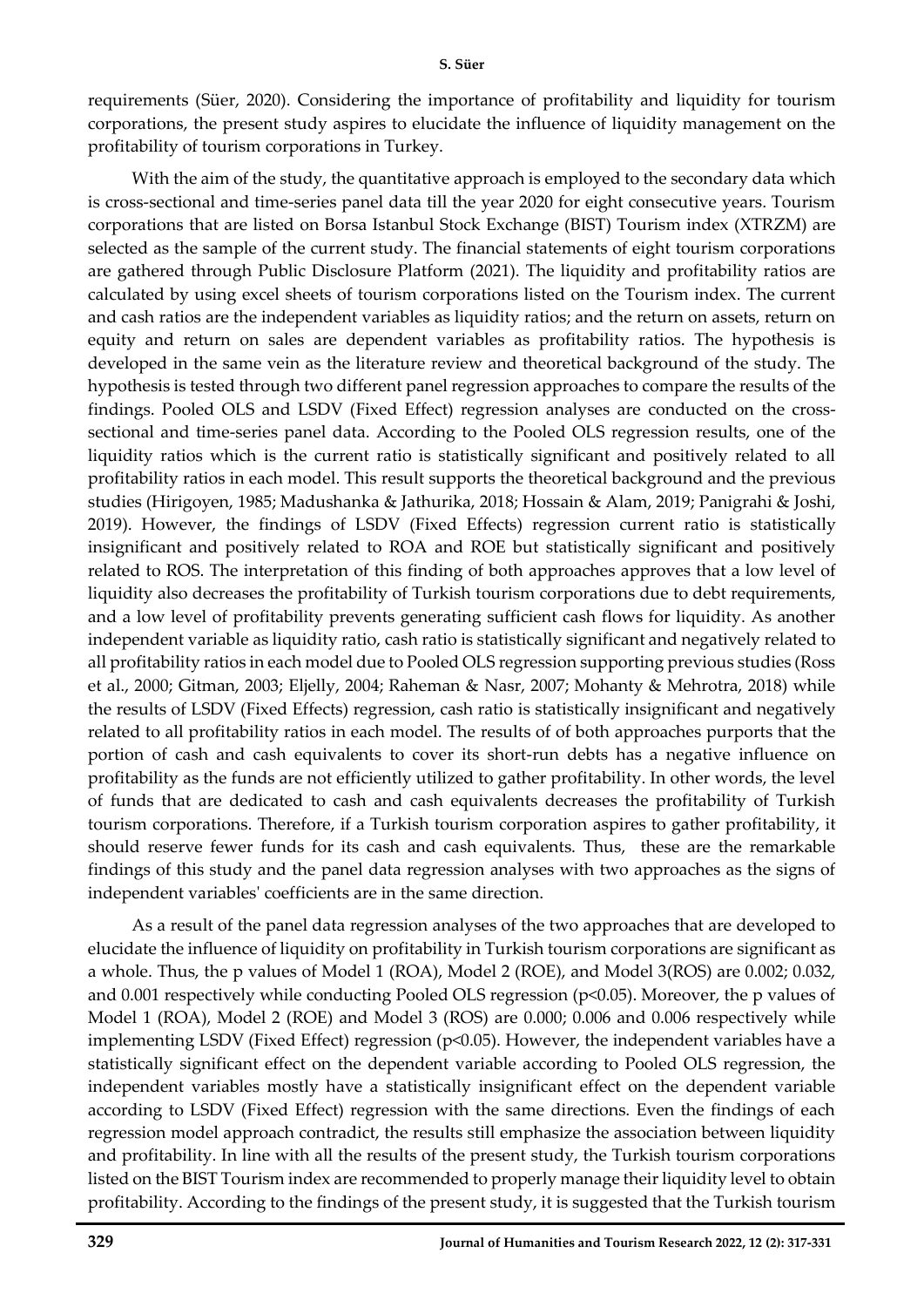requirements (Süer, 2020). Considering the importance of profitability and liquidity for tourism corporations, the present study aspires to elucidate the influence of liquidity management on the profitability of tourism corporations in Turkey.

With the aim of the study, the quantitative approach is employed to the secondary data which is cross-sectional and time-series panel data till the year 2020 for eight consecutive years. Tourism corporations that are listed on Borsa Istanbul Stock Exchange (BIST) Tourism index (XTRZM) are selected as the sample of the current study. The financial statements of eight tourism corporations are gathered through Public Disclosure Platform (2021). The liquidity and profitability ratios are calculated by using excel sheets of tourism corporations listed on the Tourism index. The current and cash ratios are the independent variables as liquidity ratios; and the return on assets, return on equity and return on sales are dependent variables as profitability ratios. The hypothesis is developed in the same vein as the literature review and theoretical background of the study. The hypothesis is tested through two different panel regression approaches to compare the results of the findings. Pooled OLS and LSDV (Fixed Effect) regression analyses are conducted on the crosssectional and time-series panel data. According to the Pooled OLS regression results, one of the liquidity ratios which is the current ratio is statistically significant and positively related to all profitability ratios in each model. This result supports the theoretical background and the previous studies (Hirigoyen, 1985; Madushanka & Jathurika, 2018; Hossain & Alam, 2019; Panigrahi & Joshi, 2019). However, the findings of LSDV (Fixed Effects) regression current ratio is statistically insignificant and positively related to ROA and ROE but statistically significant and positively related to ROS. The interpretation of this finding of both approaches approves that a low level of liquidity also decreases the profitability of Turkish tourism corporations due to debt requirements, and a low level of profitability prevents generating sufficient cash flows for liquidity. As another independent variable as liquidity ratio, cash ratio is statistically significant and negatively related to all profitability ratios in each model due to Pooled OLS regression supporting previous studies (Ross et al., 2000; Gitman, 2003; Eljelly, 2004; Raheman & Nasr, 2007; Mohanty & Mehrotra, 2018) while the results of LSDV (Fixed Effects) regression, cash ratio is statistically insignificant and negatively related to all profitability ratios in each model. The results of of both approaches purports that the portion of cash and cash equivalents to cover its short-run debts has a negative influence on profitability as the funds are not efficiently utilized to gather profitability. In other words, the level of funds that are dedicated to cash and cash equivalents decreases the profitability of Turkish tourism corporations. Therefore, if a Turkish tourism corporation aspires to gather profitability, it should reserve fewer funds for its cash and cash equivalents. Thus, these are the remarkable findings of this study and the panel data regression analyses with two approaches as the signs of independent variables' coefficients are in the same direction.

As a result of the panel data regression analyses of the two approaches that are developed to elucidate the influence of liquidity on profitability in Turkish tourism corporations are significant as a whole. Thus, the p values of Model 1 (ROA), Model 2 (ROE), and Model 3(ROS) are 0.002; 0.032, and 0.001 respectively while conducting Pooled OLS regression (p<0.05). Moreover, the p values of Model 1 (ROA), Model 2 (ROE) and Model 3 (ROS) are 0.000; 0.006 and 0.006 respectively while implementing LSDV (Fixed Effect) regression (p<0.05). However, the independent variables have a statistically significant effect on the dependent variable according to Pooled OLS regression, the independent variables mostly have a statistically insignificant effect on the dependent variable according to LSDV (Fixed Effect) regression with the same directions. Even the findings of each regression model approach contradict, the results still emphasize the association between liquidity and profitability. In line with all the results of the present study, the Turkish tourism corporations listed on the BIST Tourism index are recommended to properly manage their liquidity level to obtain profitability. According to the findings of the present study, it is suggested that the Turkish tourism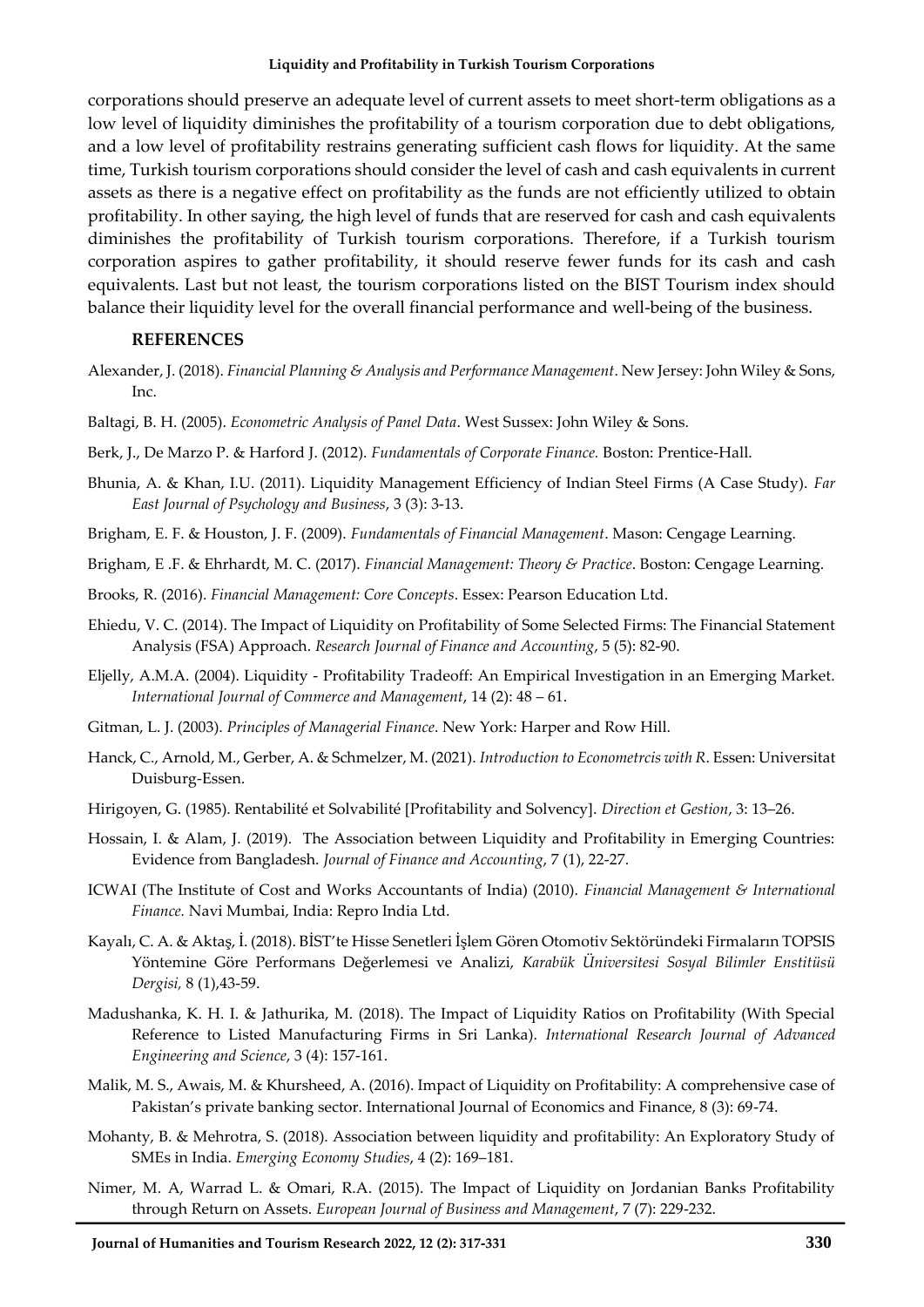corporations should preserve an adequate level of current assets to meet short-term obligations as a low level of liquidity diminishes the profitability of a tourism corporation due to debt obligations, and a low level of profitability restrains generating sufficient cash flows for liquidity. At the same time, Turkish tourism corporations should consider the level of cash and cash equivalents in current assets as there is a negative effect on profitability as the funds are not efficiently utilized to obtain profitability. In other saying, the high level of funds that are reserved for cash and cash equivalents diminishes the profitability of Turkish tourism corporations. Therefore, if a Turkish tourism corporation aspires to gather profitability, it should reserve fewer funds for its cash and cash equivalents. Last but not least, the tourism corporations listed on the BIST Tourism index should balance their liquidity level for the overall financial performance and well-being of the business.

### **REFERENCES**

- Alexander, J. (2018). *Financial Planning & Analysis and Performance Management*. New Jersey: John Wiley & Sons, Inc.
- Baltagi, B. H. (2005). *Econometric Analysis of Panel Data*. West Sussex: John Wiley & Sons.
- Berk, J., De Marzo P. & Harford J. (2012). *Fundamentals of Corporate Finance.* Boston: Prentice-Hall.
- Bhunia, A. & Khan, I.U. (2011). Liquidity Management Efficiency of Indian Steel Firms (A Case Study). *Far East Journal of Psychology and Business*, 3 (3): 3-13.
- Brigham, E. F. & Houston, J. F. (2009). *Fundamentals of Financial Management*. Mason: Cengage Learning.
- Brigham, E .F. & Ehrhardt, M. C. (2017). *Financial Management: Theory & Practice*. Boston: Cengage Learning.
- Brooks, R. (2016). *Financial Management: Core Concepts*. Essex: Pearson Education Ltd.
- Ehiedu, V. C. (2014). The Impact of Liquidity on Profitability of Some Selected Firms: The Financial Statement Analysis (FSA) Approach. *Research Journal of Finance and Accounting*, 5 (5): 82-90.
- Eljelly, A.M.A. (2004). Liquidity Profitability Tradeoff: An Empirical Investigation in an Emerging Market. *International Journal of Commerce and Management*, 14 (2): 48 – 61.
- Gitman, L. J. (2003). *Principles of Managerial Finance*. New York: Harper and Row Hill.
- Hanck, C., Arnold, M., Gerber, A. & Schmelzer, M. (2021). *Introduction to Econometrcis with R*. Essen: Universitat Duisburg-Essen.
- Hirigoyen, G. (1985). Rentabilité et Solvabilité [Profitability and Solvency]. *Direction et Gestion*, 3: 13–26.
- Hossain, I. & Alam, J. (2019). The Association between Liquidity and Profitability in Emerging Countries: Evidence from Bangladesh. *Journal of Finance and Accounting*, 7 (1), 22-27.
- ICWAI (The Institute of Cost and Works Accountants of India) (2010). *Financial Management & International Finance.* Navi Mumbai, India: Repro India Ltd.
- Kayalı, C. A. & Aktaş, İ. (2018). BİST'te Hisse Senetleri İşlem Gören Otomotiv Sektöründeki Firmaların TOPSIS Yöntemine Göre Performans Değerlemesi ve Analizi, *Karabük Üniversitesi Sosyal Bilimler Enstitüsü Dergisi,* 8 (1),43-59.
- Madushanka, K. H. I. & Jathurika, M. (2018). The Impact of Liquidity Ratios on Profitability (With Special Reference to Listed Manufacturing Firms in Sri Lanka). *International Research Journal of Advanced Engineering and Science*, 3 (4): 157-161.
- Malik, M. S., Awais, M. & Khursheed, A. (2016). Impact of Liquidity on Profitability: A comprehensive case of Pakistan's private banking sector. International Journal of Economics and Finance, 8 (3): 69-74.
- Mohanty, B. & Mehrotra, S. (2018). Association between liquidity and profitability: An Exploratory Study of SMEs in India. *Emerging Economy Studies*, 4 (2): 169–181.
- Nimer, M. A, Warrad L. & Omari, R.A. (2015). The Impact of Liquidity on Jordanian Banks Profitability through Return on Assets. *European Journal of Business and Management*, 7 (7): 229-232.